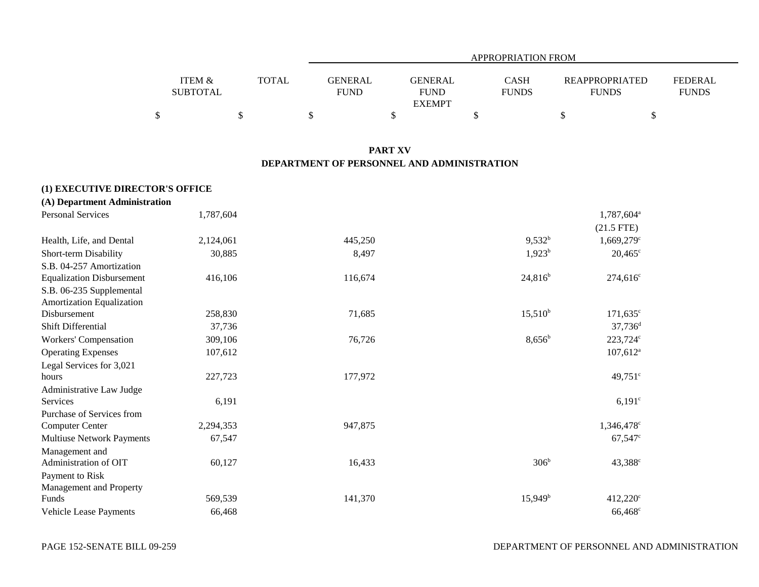|                                      |              | APPROPRIATION FROM                               |                             |                                       |                         |  |  |
|--------------------------------------|--------------|--------------------------------------------------|-----------------------------|---------------------------------------|-------------------------|--|--|
| <b>ITEM &amp;</b><br><b>SUBTOTAL</b> | <b>TOTAL</b> | GENERAL<br>GENERAL<br><b>FUND</b><br><b>FUND</b> | <b>CASH</b><br><b>FUNDS</b> | <b>REAPPROPRIATED</b><br><b>FUNDS</b> | FEDERAL<br><b>FUNDS</b> |  |  |
|                                      |              | <b>EXEMPT</b>                                    |                             |                                       |                         |  |  |
|                                      |              |                                                  |                             |                                       |                         |  |  |

### **PART XV DEPARTMENT OF PERSONNEL AND ADMINISTRATION**

| (1) EXECUTIVE DIRECTOR'S OFFICE  |           |         |                  |                          |
|----------------------------------|-----------|---------|------------------|--------------------------|
| (A) Department Administration    |           |         |                  |                          |
| <b>Personal Services</b>         | 1,787,604 |         |                  | 1,787,604 <sup>a</sup>   |
|                                  |           |         |                  | $(21.5$ FTE)             |
| Health, Life, and Dental         | 2,124,061 | 445,250 | $9,532^b$        | $1,669,279$ <sup>c</sup> |
| Short-term Disability            | 30,885    | 8,497   | $1,923^b$        | $20,465^{\circ}$         |
| S.B. 04-257 Amortization         |           |         |                  |                          |
| <b>Equalization Disbursement</b> | 416,106   | 116,674 | $24,816^b$       | $274,616^{\circ}$        |
| S.B. 06-235 Supplemental         |           |         |                  |                          |
| Amortization Equalization        |           |         |                  |                          |
| Disbursement                     | 258,830   | 71,685  | $15,510^b$       | $171,635^{\circ}$        |
| <b>Shift Differential</b>        | 37,736    |         |                  | $37,736$ <sup>d</sup>    |
| Workers' Compensation            | 309,106   | 76,726  | $8,656^b$        | 223,724c                 |
| <b>Operating Expenses</b>        | 107,612   |         |                  | $107,612$ <sup>a</sup>   |
| Legal Services for 3,021         |           |         |                  |                          |
| hours                            | 227,723   | 177,972 |                  | $49,751$ °               |
| Administrative Law Judge         |           |         |                  |                          |
| Services                         | 6,191     |         |                  | $6,191^{\circ}$          |
| Purchase of Services from        |           |         |                  |                          |
| <b>Computer Center</b>           | 2,294,353 | 947,875 |                  | $1,346,478$ <sup>c</sup> |
| <b>Multiuse Network Payments</b> | 67,547    |         |                  | $67,547^{\circ}$         |
| Management and                   |           |         |                  |                          |
| Administration of OIT            | 60,127    | 16,433  | 306 <sup>b</sup> | $43,388^{\circ}$         |
| Payment to Risk                  |           |         |                  |                          |
| Management and Property          |           |         |                  |                          |
| Funds                            | 569,539   | 141,370 | $15,949^b$       | 412,220 <sup>c</sup>     |
| Vehicle Lease Payments           | 66,468    |         |                  | 66,468                   |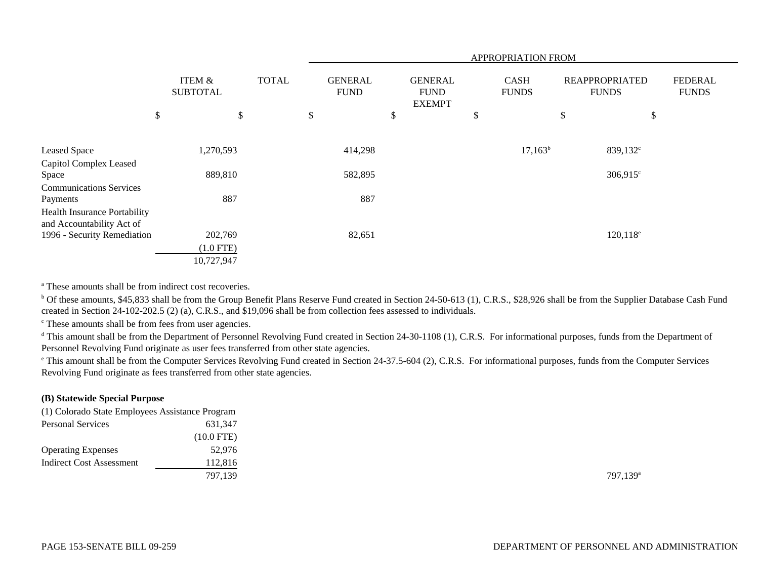|                                                           |                           |              |                               |                                                | APPROPRIATION FROM          |                                       |                                |
|-----------------------------------------------------------|---------------------------|--------------|-------------------------------|------------------------------------------------|-----------------------------|---------------------------------------|--------------------------------|
|                                                           | ITEM &<br><b>SUBTOTAL</b> | <b>TOTAL</b> | <b>GENERAL</b><br><b>FUND</b> | <b>GENERAL</b><br><b>FUND</b><br><b>EXEMPT</b> | <b>CASH</b><br><b>FUNDS</b> | <b>REAPPROPRIATED</b><br><b>FUNDS</b> | <b>FEDERAL</b><br><b>FUNDS</b> |
|                                                           | \$<br>\$                  |              | \$                            | \$                                             | \$                          | \$<br>\$                              |                                |
|                                                           | 1,270,593                 |              | 414,298                       |                                                | $17,163^b$                  | 839,132 <sup>c</sup>                  |                                |
| Leased Space                                              |                           |              |                               |                                                |                             |                                       |                                |
| Capitol Complex Leased<br>Space                           | 889,810                   |              | 582,895                       |                                                |                             | $306,915^{\circ}$                     |                                |
| <b>Communications Services</b>                            |                           |              |                               |                                                |                             |                                       |                                |
| Payments                                                  | 887                       |              | 887                           |                                                |                             |                                       |                                |
| Health Insurance Portability<br>and Accountability Act of |                           |              |                               |                                                |                             |                                       |                                |
| 1996 - Security Remediation                               | 202,769                   |              | 82,651                        |                                                |                             | $120,118^e$                           |                                |
|                                                           | $(1.0$ FTE)               |              |                               |                                                |                             |                                       |                                |
|                                                           | 10,727,947                |              |                               |                                                |                             |                                       |                                |

a These amounts shall be from indirect cost recoveries.

<sup>b</sup> Of these amounts, \$45,833 shall be from the Group Benefit Plans Reserve Fund created in Section 24-50-613 (1), C.R.S., \$28,926 shall be from the Supplier Database Cash Fund created in Section 24-102-202.5 (2) (a), C.R.S., and \$19,096 shall be from collection fees assessed to individuals.

<sup>c</sup> These amounts shall be from fees from user agencies.

<sup>d</sup> This amount shall be from the Department of Personnel Revolving Fund created in Section 24-30-1108 (1), C.R.S. For informational purposes, funds from the Department of Personnel Revolving Fund originate as user fees transferred from other state agencies.

<sup>e</sup> This amount shall be from the Computer Services Revolving Fund created in Section 24-37.5-604 (2), C.R.S. For informational purposes, funds from the Computer Services Revolving Fund originate as fees transferred from other state agencies.

### **(B) Statewide Special Purpose**

| (1) Colorado State Employees Assistance Program |            |                      |
|-------------------------------------------------|------------|----------------------|
| <b>Personal Services</b>                        | 631.347    |                      |
|                                                 | (10.0 FTE) |                      |
| <b>Operating Expenses</b>                       | 52,976     |                      |
| <b>Indirect Cost Assessment</b>                 | 112,816    |                      |
|                                                 | 797.139    | 797.139 <sup>a</sup> |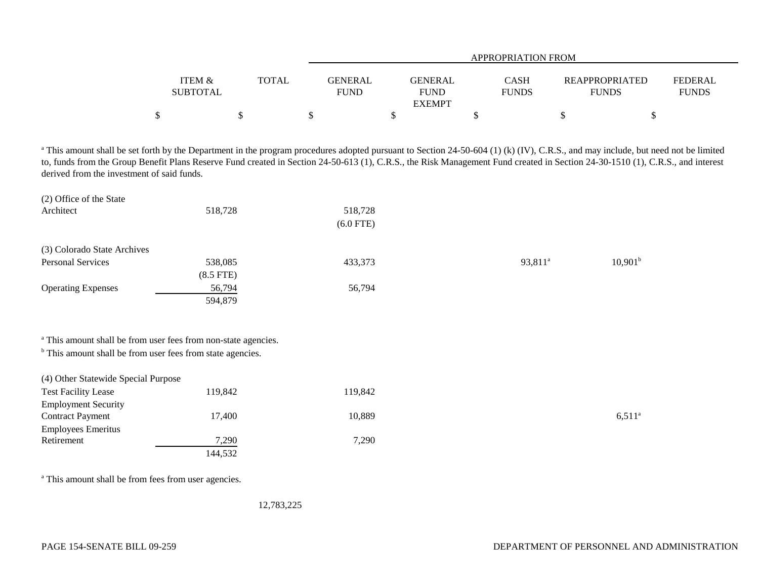|                   |              | APPROPRIATION FROM |               |              |                       |                |  |
|-------------------|--------------|--------------------|---------------|--------------|-----------------------|----------------|--|
|                   |              |                    |               |              |                       |                |  |
| <b>ITEM &amp;</b> | <b>TOTAL</b> | <b>GENERAL</b>     | GENERAL       | <b>CASH</b>  | <b>REAPPROPRIATED</b> | <b>FEDERAL</b> |  |
| <b>SUBTOTAL</b>   |              | <b>FUND</b>        | <b>FUND</b>   | <b>FUNDS</b> | <b>FUNDS</b>          | <b>FUNDS</b>   |  |
|                   |              |                    | <b>EXEMPT</b> |              |                       |                |  |
|                   |              |                    |               |              |                       |                |  |

<sup>a</sup> This amount shall be set forth by the Department in the program procedures adopted pursuant to Section 24-50-604 (1) (k) (IV), C.R.S., and may include, but need not be limited to, funds from the Group Benefit Plans Reserve Fund created in Section 24-50-613 (1), C.R.S., the Risk Management Fund created in Section 24-30-1510 (1), C.R.S., and interest derived from the investment of said funds.

| (2) Office of the State                                               |                                                                           |             |                     |                     |
|-----------------------------------------------------------------------|---------------------------------------------------------------------------|-------------|---------------------|---------------------|
| Architect                                                             | 518,728                                                                   | 518,728     |                     |                     |
|                                                                       |                                                                           | $(6.0$ FTE) |                     |                     |
| (3) Colorado State Archives                                           |                                                                           |             |                     |                     |
| <b>Personal Services</b>                                              | 538,085                                                                   | 433,373     | 93,811 <sup>a</sup> | 10,901 <sup>b</sup> |
|                                                                       | $(8.5$ FTE)                                                               |             |                     |                     |
| <b>Operating Expenses</b>                                             | 56,794                                                                    | 56,794      |                     |                     |
|                                                                       | 594,879                                                                   |             |                     |                     |
|                                                                       | <sup>a</sup> This amount shall be from user fees from non-state agencies. |             |                     |                     |
| <sup>b</sup> This amount shall be from user fees from state agencies. |                                                                           |             |                     |                     |
| (4) Other Statewide Special Purpose                                   |                                                                           |             |                     |                     |
| <b>Test Facility Lease</b>                                            | 119,842                                                                   | 119,842     |                     |                     |
| <b>Employment Security</b>                                            |                                                                           |             |                     |                     |
| <b>Contract Payment</b>                                               | 17,400                                                                    | 10,889      |                     | $6,511^{\circ}$     |
| <b>Employees Emeritus</b>                                             |                                                                           |             |                     |                     |
| Retirement                                                            | 7,290                                                                     | 7,290       |                     |                     |

<sup>a</sup> This amount shall be from fees from user agencies.

12,783,225

144,532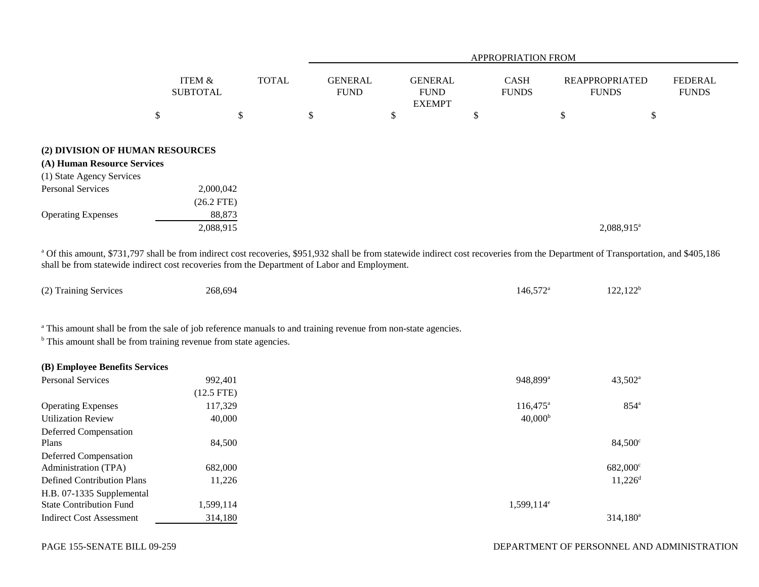|                                                                                                                                                      |                           |              | <b>APPROPRIATION FROM</b>     |                                                |                             |                                       |                                |
|------------------------------------------------------------------------------------------------------------------------------------------------------|---------------------------|--------------|-------------------------------|------------------------------------------------|-----------------------------|---------------------------------------|--------------------------------|
|                                                                                                                                                      | ITEM &<br><b>SUBTOTAL</b> | <b>TOTAL</b> | <b>GENERAL</b><br><b>FUND</b> | <b>GENERAL</b><br><b>FUND</b><br><b>EXEMPT</b> | <b>CASH</b><br><b>FUNDS</b> | <b>REAPPROPRIATED</b><br><b>FUNDS</b> | <b>FEDERAL</b><br><b>FUNDS</b> |
|                                                                                                                                                      | \$                        | \$           | \$                            | \$                                             | \$                          | \$                                    | Φ                              |
| (2) DIVISION OF HUMAN RESOURCES<br>(A) Human Resource Services<br>(1) State Agency Services<br><b>Personal Services</b><br><b>Operating Expenses</b> | 2,000,042<br>$(26.2$ FTE) | 88,873       |                               |                                                |                             |                                       |                                |
|                                                                                                                                                      | 2,088,915                 |              |                               |                                                |                             | 2,088,915 <sup>a</sup>                |                                |

<sup>a</sup> Of this amount, \$731,797 shall be from indirect cost recoveries, \$951,932 shall be from statewide indirect cost recoveries from the Department of Transportation, and \$405,186 shall be from statewide indirect cost recoveries from the Department of Labor and Employment.

| (2) Training Services | 268.694 | $146.572^{\circ}$ | 122120<br>144.144 |
|-----------------------|---------|-------------------|-------------------|
|-----------------------|---------|-------------------|-------------------|

<sup>a</sup> This amount shall be from the sale of job reference manuals to and training revenue from non-state agencies.

<sup>b</sup> This amount shall be from training revenue from state agencies.

| (B) Employee Benefits Services    |              |                          |                       |
|-----------------------------------|--------------|--------------------------|-----------------------|
| <b>Personal Services</b>          | 992.401      | 948.899 <sup>a</sup>     | $43,502^{\rm a}$      |
|                                   | $(12.5$ FTE) |                          |                       |
| <b>Operating Expenses</b>         | 117,329      | $116,475^{\circ}$        | $854^{\circ}$         |
| <b>Utilization Review</b>         | 40,000       | 40,000 <sup>b</sup>      |                       |
| Deferred Compensation             |              |                          |                       |
| Plans                             | 84.500       |                          | $84,500^{\circ}$      |
| Deferred Compensation             |              |                          |                       |
| Administration (TPA)              | 682,000      |                          | 682,000 <sup>c</sup>  |
| <b>Defined Contribution Plans</b> | 11,226       |                          | $11,226$ <sup>d</sup> |
| H.B. 07-1335 Supplemental         |              |                          |                       |
| <b>State Contribution Fund</b>    | 1,599,114    | $1,599,114$ <sup>e</sup> |                       |
| <b>Indirect Cost Assessment</b>   | 314,180      |                          | $314.180^a$           |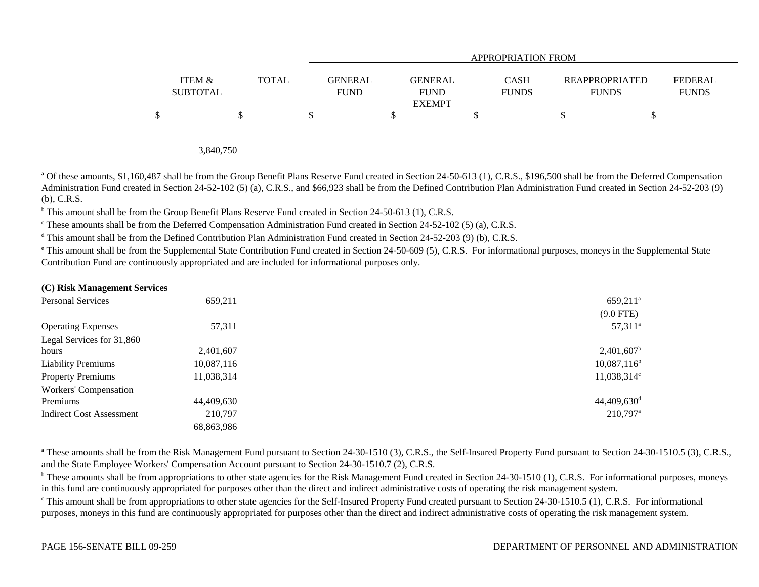|                           |              |                        |                                         | APPROPRIATION FROM          |                                       |                                |
|---------------------------|--------------|------------------------|-----------------------------------------|-----------------------------|---------------------------------------|--------------------------------|
| ITEM &<br><b>SUBTOTAL</b> | <b>TOTAL</b> | GENERAL<br><b>FUND</b> | GENERAL<br><b>FUND</b><br><b>EXEMPT</b> | <b>CASH</b><br><b>FUNDS</b> | <b>REAPPROPRIATED</b><br><b>FUNDS</b> | <b>FEDERAL</b><br><b>FUNDS</b> |
| \$                        |              |                        |                                         |                             |                                       |                                |

3,840,750

<sup>a</sup> Of these amounts, \$1,160,487 shall be from the Group Benefit Plans Reserve Fund created in Section 24-50-613 (1), C.R.S., \$196,500 shall be from the Deferred Compensation Administration Fund created in Section 24-52-102 (5) (a), C.R.S., and \$66,923 shall be from the Defined Contribution Plan Administration Fund created in Section 24-52-203 (9) (b), C.R.S.

<sup>b</sup> This amount shall be from the Group Benefit Plans Reserve Fund created in Section 24-50-613 (1), C.R.S.

 $\degree$  These amounts shall be from the Deferred Compensation Administration Fund created in Section 24-52-102 (5) (a), C.R.S.

 $\textsuperscript{d}$  This amount shall be from the Defined Contribution Plan Administration Fund created in Section 24-52-203 (9) (b), C.R.S.

<sup>e</sup> This amount shall be from the Supplemental State Contribution Fund created in Section 24-50-609 (5), C.R.S. For informational purposes, moneys in the Supplemental State Contribution Fund are continuously appropriated and are included for informational purposes only.

#### **(C) Risk Management Services**

| <b>Personal Services</b>        | 659,211    | $659,211$ <sup>a</sup>    |
|---------------------------------|------------|---------------------------|
|                                 |            | $(9.0$ FTE)               |
| <b>Operating Expenses</b>       | 57,311     | $57,311^{\circ}$          |
| Legal Services for 31,860       |            |                           |
| hours                           | 2,401,607  | $2,401,607$ <sup>t</sup>  |
| <b>Liability Premiums</b>       | 10,087,116 | $10,087,116^{\text{b}}$   |
| <b>Property Premiums</b>        | 11,038,314 | $11,038,314$ <sup>c</sup> |
| Workers' Compensation           |            |                           |
| Premiums                        | 44,409,630 | $44,409,630$ <sup>d</sup> |
| <b>Indirect Cost Assessment</b> | 210,797    | 210,797 <sup>a</sup>      |
|                                 | 68,863,986 |                           |

<sup>a</sup> These amounts shall be from the Risk Management Fund pursuant to Section 24-30-1510 (3), C.R.S., the Self-Insured Property Fund pursuant to Section 24-30-1510.5 (3), C.R.S., and the State Employee Workers' Compensation Account pursuant to Section 24-30-1510.7 (2), C.R.S.

<sup>b</sup> These amounts shall be from appropriations to other state agencies for the Risk Management Fund created in Section 24-30-1510 (1), C.R.S. For informational purposes, moneys in this fund are continuously appropriated for purposes other than the direct and indirect administrative costs of operating the risk management system.

<sup>c</sup> This amount shall be from appropriations to other state agencies for the Self-Insured Property Fund created pursuant to Section 24-30-1510.5 (1), C.R.S. For informational purposes, moneys in this fund are continuously appropriated for purposes other than the direct and indirect administrative costs of operating the risk management system.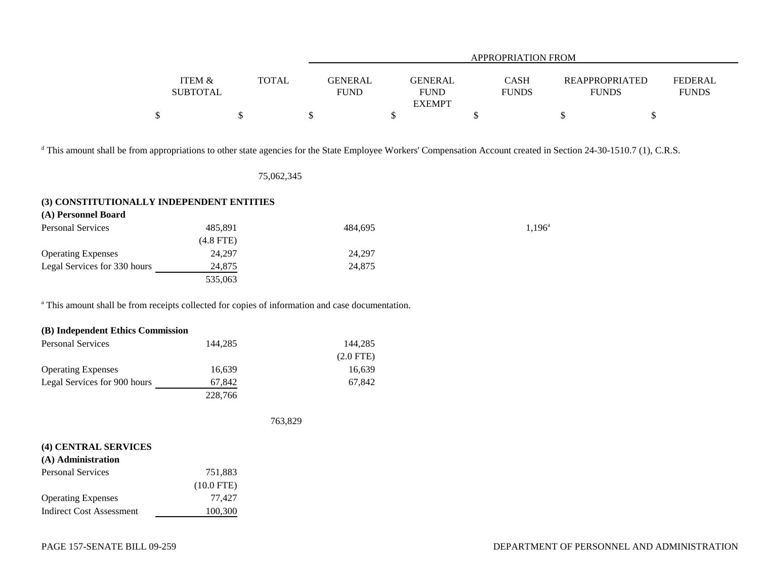|                 |              |                | APPROPRIATION FROM |              |                       |              |  |  |
|-----------------|--------------|----------------|--------------------|--------------|-----------------------|--------------|--|--|
|                 |              |                |                    |              |                       |              |  |  |
| ITEM &          | <b>TOTAL</b> | <b>GENERAL</b> | GENERAL            | <b>CASH</b>  | <b>REAPPROPRIATED</b> | FEDERAL      |  |  |
| <b>SUBTOTAL</b> |              | <b>FUND</b>    | FUND               | <b>FUNDS</b> | <b>FUNDS</b>          | <b>FUNDS</b> |  |  |
|                 |              |                | <b>EXEMPT</b>      |              |                       |              |  |  |
|                 |              |                |                    |              |                       |              |  |  |

<sup>d</sup> This amount shall be from appropriations to other state agencies for the State Employee Workers' Compensation Account created in Section 24-30-1510.7 (1), C.R.S.

75,062,345

#### **(3) CONSTITUTIONALLY INDEPENDENT ENTITIES**

| (A) Personnel Board          |             |         |                 |
|------------------------------|-------------|---------|-----------------|
| <b>Personal Services</b>     | 485.891     | 484.695 | $1,196^{\rm a}$ |
|                              | $(4.8$ FTE) |         |                 |
| <b>Operating Expenses</b>    | 24.297      | 24.297  |                 |
| Legal Services for 330 hours | 24,875      | 24,875  |                 |
|                              | 535,063     |         |                 |

<sup>a</sup> This amount shall be from receipts collected for copies of information and case documentation.

| (B) Independent Ethics Commission |         |             |
|-----------------------------------|---------|-------------|
| <b>Personal Services</b>          | 144.285 | 144,285     |
|                                   |         | $(2.0$ FTE) |
| <b>Operating Expenses</b>         | 16,639  | 16,639      |
| Legal Services for 900 hours      | 67,842  | 67,842      |
|                                   | 228,766 |             |

763,829

| (4) CENTRAL SERVICES      |              |  |  |  |  |
|---------------------------|--------------|--|--|--|--|
| (A) Administration        |              |  |  |  |  |
| Personal Services         | 751,883      |  |  |  |  |
|                           | $(10.0$ FTE) |  |  |  |  |
| <b>Operating Expenses</b> | 77.427       |  |  |  |  |
| Indirect Cost Assessment  | 100,300      |  |  |  |  |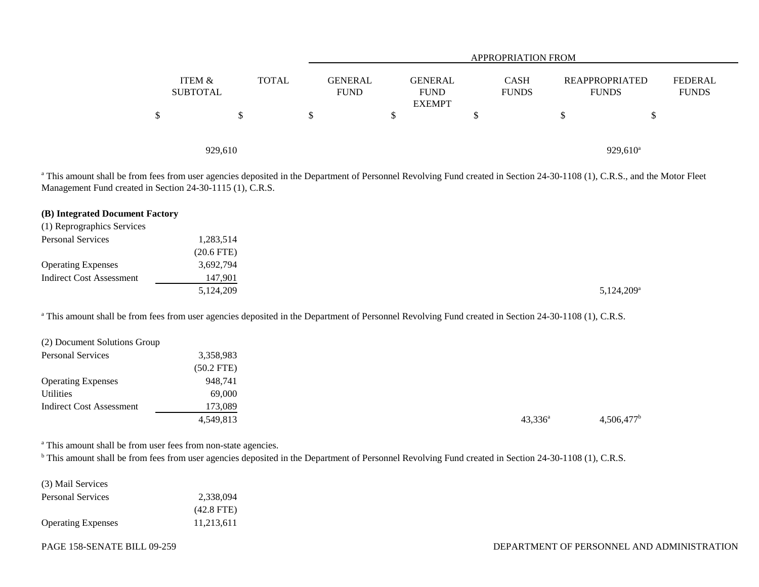|                           |              |                               |                                                | <b>APPROPRIATION FROM</b>   |                                       |                                |
|---------------------------|--------------|-------------------------------|------------------------------------------------|-----------------------------|---------------------------------------|--------------------------------|
| ITEM &<br><b>SUBTOTAL</b> | <b>TOTAL</b> | <b>GENERAL</b><br><b>FUND</b> | <b>GENERAL</b><br><b>FUND</b><br><b>EXEMPT</b> | <b>CASH</b><br><b>FUNDS</b> | <b>REAPPROPRIATED</b><br><b>FUNDS</b> | <b>FEDERAL</b><br><b>FUNDS</b> |
| \$                        |              | Ф                             |                                                | \$                          | J                                     |                                |
| 929,610                   |              |                               |                                                |                             | $929,610^{\circ}$                     |                                |

<sup>a</sup> This amount shall be from fees from user agencies deposited in the Department of Personnel Revolving Fund created in Section 24-30-1108 (1), C.R.S., and the Motor Fleet Management Fund created in Section 24-30-1115 (1), C.R.S.

| (B) Integrated Document Factory |              |  |                     |
|---------------------------------|--------------|--|---------------------|
| (1) Reprographics Services      |              |  |                     |
| <b>Personal Services</b>        | 1,283,514    |  |                     |
|                                 | $(20.6$ FTE) |  |                     |
| <b>Operating Expenses</b>       | 3,692,794    |  |                     |
| Indirect Cost Assessment        | 147,901      |  |                     |
|                                 | 5,124,209    |  | $5,124,209^{\rm a}$ |
|                                 |              |  |                     |

<sup>a</sup> This amount shall be from fees from user agencies deposited in the Department of Personnel Revolving Fund created in Section 24-30-1108 (1), C.R.S.

| (2) Document Solutions Group |              |                  |                          |
|------------------------------|--------------|------------------|--------------------------|
| <b>Personal Services</b>     | 3,358,983    |                  |                          |
|                              | $(50.2$ FTE) |                  |                          |
| <b>Operating Expenses</b>    | 948,741      |                  |                          |
| Utilities                    | 69,000       |                  |                          |
| Indirect Cost Assessment     | 173,089      |                  |                          |
|                              | 4,549,813    | $43,336^{\circ}$ | $4,506,477$ <sup>b</sup> |

<sup>a</sup> This amount shall be from user fees from non-state agencies.

<sup>b</sup> This amount shall be from fees from user agencies deposited in the Department of Personnel Revolving Fund created in Section 24-30-1108 (1), C.R.S.

| (3) Mail Services         |              |  |
|---------------------------|--------------|--|
| <b>Personal Services</b>  | 2.338.094    |  |
|                           | $(42.8$ FTE) |  |
| <b>Operating Expenses</b> | 11.213.611   |  |

PAGE 158-SENATE BILL 09-259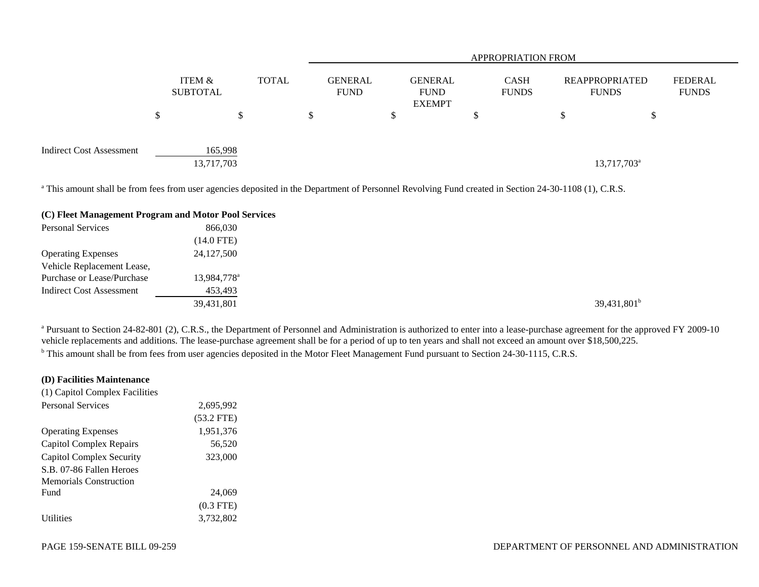|                                 |                           |  |              | <b>APPROPRIATION FROM</b>     |    |                                                |  |                             |  |                                |                                |
|---------------------------------|---------------------------|--|--------------|-------------------------------|----|------------------------------------------------|--|-----------------------------|--|--------------------------------|--------------------------------|
|                                 | ITEM &<br><b>SUBTOTAL</b> |  | <b>TOTAL</b> | <b>GENERAL</b><br><b>FUND</b> |    | <b>GENERAL</b><br><b>FUND</b><br><b>EXEMPT</b> |  | <b>CASH</b><br><b>FUNDS</b> |  | REAPPROPRIATED<br><b>FUNDS</b> | <b>FEDERAL</b><br><b>FUNDS</b> |
|                                 |                           |  |              | \$                            | J, |                                                |  |                             |  | J                              |                                |
| <b>Indirect Cost Assessment</b> | 165,998<br>13,717,703     |  |              |                               |    |                                                |  |                             |  | 13,717,703 <sup>a</sup>        |                                |

<sup>a</sup> This amount shall be from fees from user agencies deposited in the Department of Personnel Revolving Fund created in Section 24-30-1108 (1), C.R.S.

#### **(C) Fleet Management Program and Motor Pool Services**

| <b>Personal Services</b>        | 866,030                 |  |                |
|---------------------------------|-------------------------|--|----------------|
|                                 | $(14.0$ FTE)            |  |                |
| <b>Operating Expenses</b>       | 24, 127, 500            |  |                |
| Vehicle Replacement Lease,      |                         |  |                |
| Purchase or Lease/Purchase      | 13,984,778 <sup>a</sup> |  |                |
| <b>Indirect Cost Assessment</b> | 453,493                 |  |                |
|                                 | 39,431,801              |  | $39,431,801^b$ |
|                                 |                         |  |                |

<sup>a</sup> Pursuant to Section 24-82-801 (2), C.R.S., the Department of Personnel and Administration is authorized to enter into a lease-purchase agreement for the approved FY 2009-10 vehicle replacements and additions. The lease-purchase agreement shall be for a period of up to ten years and shall not exceed an amount over \$18,500,225. <sup>b</sup> This amount shall be from fees from user agencies deposited in the Motor Fleet Management Fund pursuant to Section 24-30-1115, C.R.S.

#### **(D) Facilities Maintenance**

| (1) Capitol Complex Facilities |              |  |
|--------------------------------|--------------|--|
| Personal Services              | 2,695,992    |  |
|                                | $(53.2$ FTE) |  |
| <b>Operating Expenses</b>      | 1,951,376    |  |
| Capitol Complex Repairs        | 56,520       |  |
| Capitol Complex Security       | 323,000      |  |
| S.B. 07-86 Fallen Heroes       |              |  |
| <b>Memorials Construction</b>  |              |  |
| <b>Fund</b>                    | 24,069       |  |
|                                | $(0.3$ FTE)  |  |
| <i><u><b>Utilities</b></u></i> | 3,732,802    |  |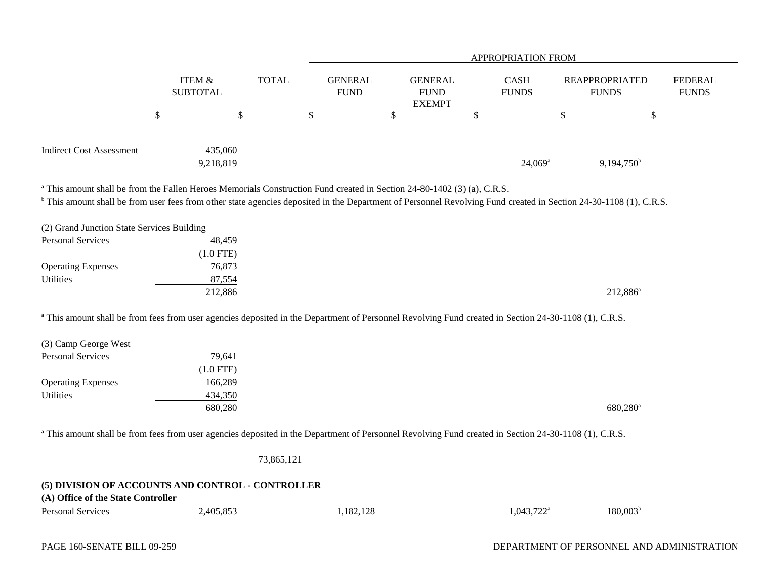|                                                                                                                                    |                                      | <b>APPROPRIATION FROM</b> |                               |                                                |                             |                                                                                                                                                                              |                                |
|------------------------------------------------------------------------------------------------------------------------------------|--------------------------------------|---------------------------|-------------------------------|------------------------------------------------|-----------------------------|------------------------------------------------------------------------------------------------------------------------------------------------------------------------------|--------------------------------|
|                                                                                                                                    | <b>ITEM &amp;</b><br><b>SUBTOTAL</b> | <b>TOTAL</b>              | <b>GENERAL</b><br><b>FUND</b> | <b>GENERAL</b><br><b>FUND</b><br><b>EXEMPT</b> | <b>CASH</b><br><b>FUNDS</b> | <b>REAPPROPRIATED</b><br><b>FUNDS</b>                                                                                                                                        | <b>FEDERAL</b><br><b>FUNDS</b> |
|                                                                                                                                    | \$                                   | \$.                       | \$                            | \$                                             | \$                          | \$<br>\$                                                                                                                                                                     |                                |
| <b>Indirect Cost Assessment</b>                                                                                                    | 435,060<br>9,218,819                 |                           |                               |                                                | $24,069^{\rm a}$            | $9,194,750^{\rm b}$                                                                                                                                                          |                                |
| <sup>a</sup> This amount shall be from the Fallen Heroes Memorials Construction Fund created in Section 24-80-1402 (3) (a), C.R.S. |                                      |                           |                               |                                                |                             |                                                                                                                                                                              |                                |
|                                                                                                                                    |                                      |                           |                               |                                                |                             | <sup>b</sup> This amount shall be from user fees from other state agencies deposited in the Department of Personnel Revolving Fund created in Section 24-30-1108 (1), C.R.S. |                                |
| (2) Grand Junction State Services Building<br>Personal Services                                                                    | 48,459                               |                           |                               |                                                |                             |                                                                                                                                                                              |                                |
|                                                                                                                                    | $(1.0$ FTE)                          |                           |                               |                                                |                             |                                                                                                                                                                              |                                |
| <b>Operating Expenses</b>                                                                                                          | 76,873                               |                           |                               |                                                |                             |                                                                                                                                                                              |                                |

 $212,886$ <sup>a</sup> 212,886<sup>a</sup>

<sup>a</sup> This amount shall be from fees from user agencies deposited in the Department of Personnel Revolving Fund created in Section 24-30-1108 (1), C.R.S.

| (3) Camp George West      |             |                      |
|---------------------------|-------------|----------------------|
| <b>Personal Services</b>  | 79,641      |                      |
|                           | $(1.0$ FTE) |                      |
| <b>Operating Expenses</b> | 166,289     |                      |
| Utilities                 | 434,350     |                      |
|                           | 680,280     | 680,280 <sup>a</sup> |
|                           |             |                      |

<sup>a</sup> This amount shall be from fees from user agencies deposited in the Department of Personnel Revolving Fund created in Section 24-30-1108 (1), C.R.S.

73,865,121

# **(5) DIVISION OF ACCOUNTS AND CONTROL - CONTROLLER (A) Office of the State Controller**

| Personal Services | .405.853 | .182.128 | $0.043.722^{\text{a}}$<br>. <i>. .</i> | 180.003 <sup>b</sup> |
|-------------------|----------|----------|----------------------------------------|----------------------|
|                   |          |          |                                        |                      |

Utilities 27,554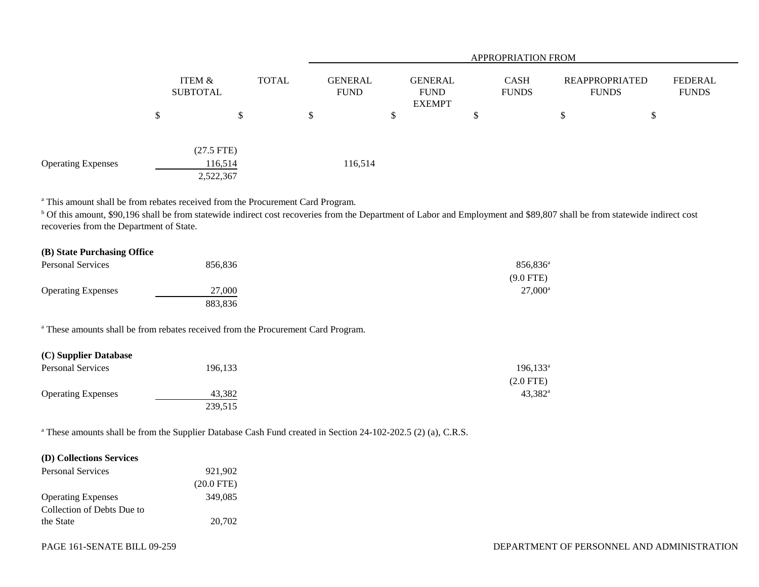|                           |                           |                         |              |                               | <b>APPROPRIATION FROM</b> |                                                |  |                             |  |                                       |    |                                |
|---------------------------|---------------------------|-------------------------|--------------|-------------------------------|---------------------------|------------------------------------------------|--|-----------------------------|--|---------------------------------------|----|--------------------------------|
|                           |                           | ITEM &<br>SUBTOTAL      | <b>TOTAL</b> | <b>GENERAL</b><br><b>FUND</b> |                           | <b>GENERAL</b><br><b>FUND</b><br><b>EXEMPT</b> |  | <b>CASH</b><br><b>FUNDS</b> |  | <b>REAPPROPRIATED</b><br><b>FUNDS</b> |    | <b>FEDERAL</b><br><b>FUNDS</b> |
|                           | $\boldsymbol{\mathsf{S}}$ | \$                      |              | $\boldsymbol{\mathsf{S}}$     |                           | \$                                             |  |                             |  | Φ                                     | \$ |                                |
| <b>Operating Expenses</b> |                           | $(27.5$ FTE)<br>116,514 |              |                               | 116,514                   |                                                |  |                             |  |                                       |    |                                |
|                           |                           | 2,522,367               |              |                               |                           |                                                |  |                             |  |                                       |    |                                |

a This amount shall be from rebates received from the Procurement Card Program.

<sup>b</sup> Of this amount, \$90,196 shall be from statewide indirect cost recoveries from the Department of Labor and Employment and \$89,807 shall be from statewide indirect cost recoveries from the Department of State.

| (B) State Purchasing Office |         |                  |
|-----------------------------|---------|------------------|
| Personal Services           | 856.836 | 856,836          |
|                             |         | $(9.0$ FTE)      |
| <b>Operating Expenses</b>   | 27,000  | $27,000^{\circ}$ |
|                             | 883,836 |                  |

a These amounts shall be from rebates received from the Procurement Card Program.

# **(C) Supplier Database**

| <b>Personal Services</b>  | 196,133 | $196, 133^{\circ}$ |
|---------------------------|---------|--------------------|
|                           |         | $(2.0$ FTE)        |
| <b>Operating Expenses</b> | 43.382  | $43,382^{\circ}$   |
|                           | 239,515 |                    |

<sup>a</sup> These amounts shall be from the Supplier Database Cash Fund created in Section 24-102-202.5 (2) (a), C.R.S.

## **(D) Collections Services**

| <b>Personal Services</b>   | 921,902      |
|----------------------------|--------------|
|                            | $(20.0$ FTE) |
| <b>Operating Expenses</b>  | 349.085      |
| Collection of Debts Due to |              |
| the State                  | 20,702       |